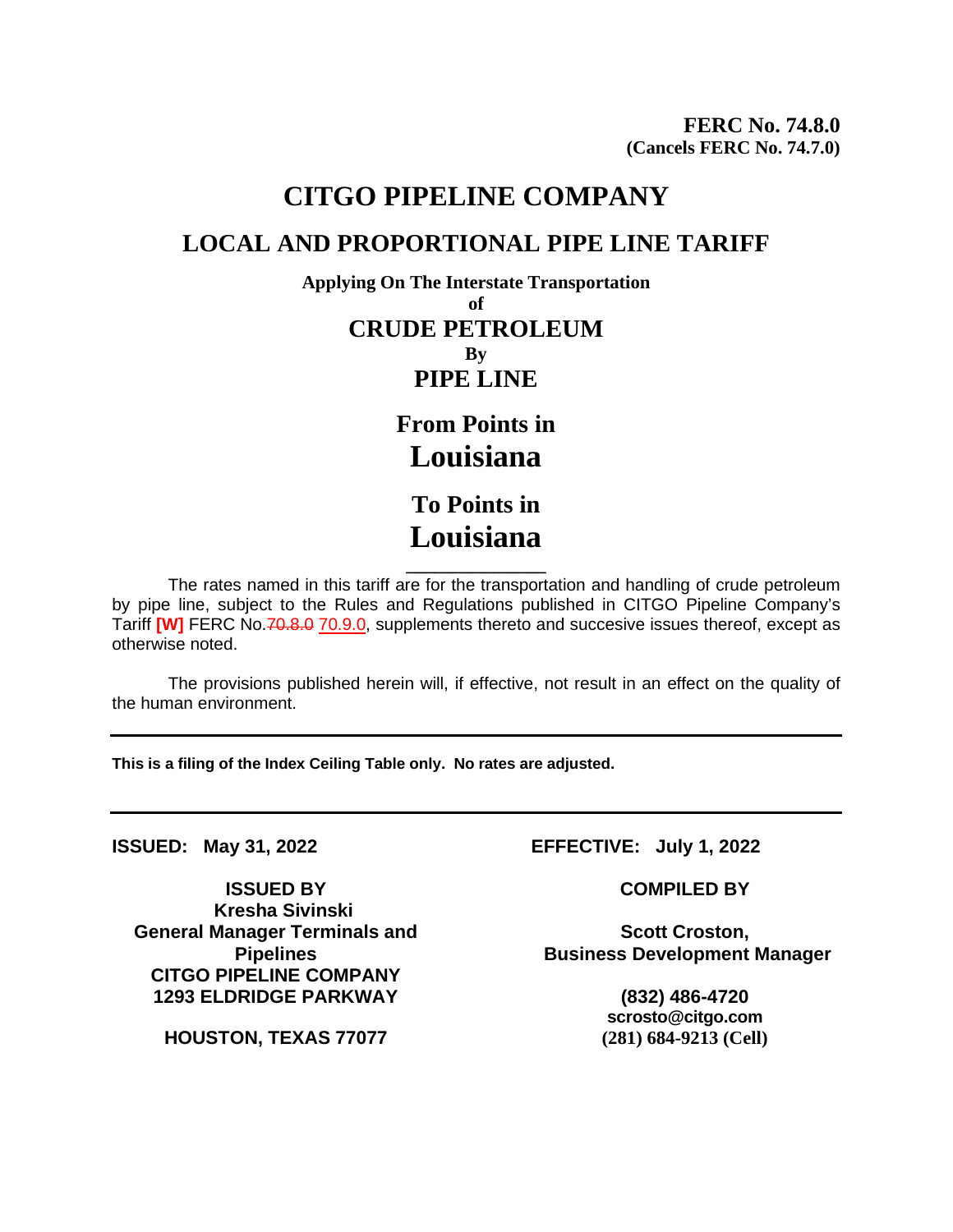## **CITGO PIPELINE COMPANY LOCAL AND PROPORTIONAL PIPE LINE TARIFF**

**Applying On The Interstate Transportation of CRUDE PETROLEUM By PIPE LINE**

> **From Points in Louisiana To Points in**

**Louisiana**

**\_\_\_\_\_\_\_\_\_\_\_\_\_\_\_** The rates named in this tariff are for the transportation and handling of crude petroleum by pipe line, subject to the Rules and Regulations published in CITGO Pipeline Company's Tariff [W] FERC No.70.8.0 70.9.0, supplements thereto and succesive issues thereof, except as otherwise noted.

The provisions published herein will, if effective, not result in an effect on the quality of the human environment.

**This is a filing of the Index Ceiling Table only. No rates are adjusted.**

**ISSUED BY COMPILED BY Kresha Sivinski General Manager Terminals and Pipelines CITGO PIPELINE COMPANY 1293 ELDRIDGE PARKWAY (832) 486-4720**

**HOUSTON, TEXAS 77077 (281) 684-9213 (Cell)**

**ISSUED: May 31, 2022 EFFECTIVE: July 1, 2022**

**Scott Croston, Business Development Manager**

**scrosto@citgo.com**